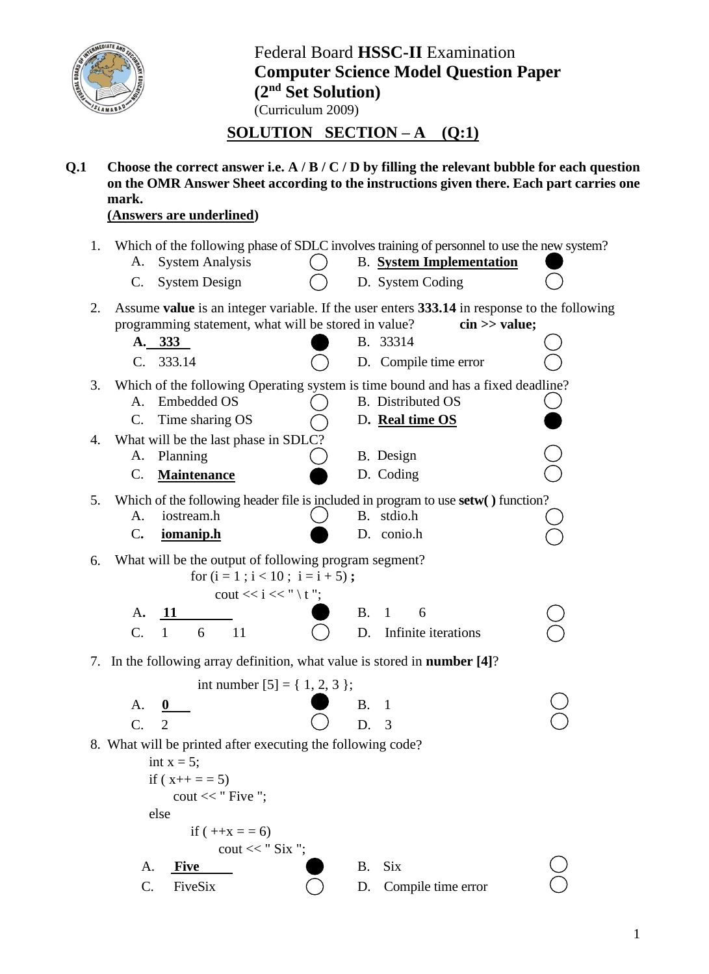

Federal Board **HSSC-II** Examination **Computer Science Model Question Paper (2nd Set Solution)** (Curriculum 2009)

## **SOLUTION SECTION – A** (Q:1)

**Q.1 Choose the correct answer i.e. A / B / C / D by filling the relevant bubble for each question on the OMR Answer Sheet according to the instructions given there. Each part carries one mark.** 

## **(Answers are underlined)**

| 1. |                 |                                                                                  |           | Which of the following phase of SDLC involves training of personnel to use the new system?  |  |
|----|-----------------|----------------------------------------------------------------------------------|-----------|---------------------------------------------------------------------------------------------|--|
|    | A.              | <b>System Analysis</b>                                                           |           | <b>B.</b> System Implementation                                                             |  |
|    | C.              | <b>System Design</b>                                                             |           | D. System Coding                                                                            |  |
| 2. |                 |                                                                                  |           | Assume value is an integer variable. If the user enters 333.14 in response to the following |  |
|    |                 | programming statement, what will be stored in value?                             |           | $\sin \gg$ value;                                                                           |  |
|    |                 | A. 333                                                                           |           | B. 33314                                                                                    |  |
|    |                 | C. 333.14                                                                        |           | D. Compile time error                                                                       |  |
| 3. |                 |                                                                                  |           | Which of the following Operating system is time bound and has a fixed deadline?             |  |
|    | A.              | <b>Embedded OS</b>                                                               |           | <b>B.</b> Distributed OS                                                                    |  |
|    | C.              | Time sharing OS                                                                  |           | D. Real time OS                                                                             |  |
| 4. |                 | What will be the last phase in SDLC?                                             |           |                                                                                             |  |
|    | A.              | Planning                                                                         |           | B. Design                                                                                   |  |
|    | $\mathsf{C}$ .  | <b>Maintenance</b>                                                               |           | D. Coding                                                                                   |  |
| 5. |                 |                                                                                  |           | Which of the following header file is included in program to use setw() function?           |  |
|    | A.              | iostream.h                                                                       |           | B. stdio.h                                                                                  |  |
|    | $\mathcal{C}$ . | iomanip.h                                                                        |           | D. conio.h                                                                                  |  |
| 6. |                 | What will be the output of following program segment?                            |           |                                                                                             |  |
|    |                 | for $(i = 1 ; i < 10 ; i = i + 5)$ ;                                             |           |                                                                                             |  |
|    |                 | cout << $i \ll i \ll$ " $\setminus t$ ";                                         |           |                                                                                             |  |
|    | A.              |                                                                                  | <b>B.</b> | 6<br>$\mathbf{1}$                                                                           |  |
|    | C.              | $\mathbf{1}$<br>11<br>6                                                          | D.        | Infinite iterations                                                                         |  |
|    |                 | 7. In the following array definition, what value is stored in <b>number</b> [4]? |           |                                                                                             |  |
|    |                 | int number $[5] = \{ 1, 2, 3 \};$                                                |           |                                                                                             |  |
|    | A.              |                                                                                  | <b>B.</b> | 1                                                                                           |  |
|    | $\mathcal{C}$ . | $\overline{2}$                                                                   | D.        | 3                                                                                           |  |
|    |                 |                                                                                  |           |                                                                                             |  |
|    |                 | 8. What will be printed after executing the following code?<br>int $x = 5$ ;     |           |                                                                                             |  |
|    |                 | if $(x++ == 5)$                                                                  |           |                                                                                             |  |
|    |                 | cout $<<$ " Five ";                                                              |           |                                                                                             |  |
|    |                 | else                                                                             |           |                                                                                             |  |
|    |                 | if $(++x) = 6$                                                                   |           |                                                                                             |  |
|    |                 | cout $<<$ "Six ";                                                                |           |                                                                                             |  |
|    | A.              | <b>Five</b>                                                                      | B.        | <b>Six</b>                                                                                  |  |
|    | C.              | FiveSix                                                                          | D.        | Compile time error                                                                          |  |
|    |                 |                                                                                  |           |                                                                                             |  |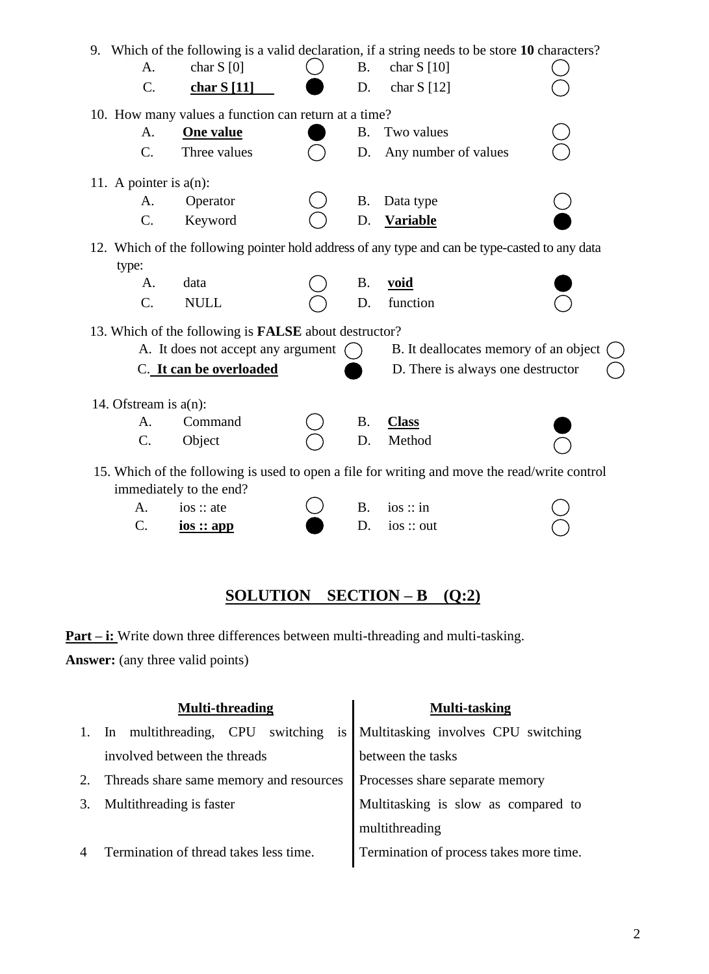|                           |                 |                                                              |           | 9. Which of the following is a valid declaration, if a string needs to be store 10 characters? |  |
|---------------------------|-----------------|--------------------------------------------------------------|-----------|------------------------------------------------------------------------------------------------|--|
|                           | A.              | char $S[0]$                                                  | <b>B.</b> | char $S[10]$                                                                                   |  |
|                           | $C_{\cdot}$     | char $S[11]$                                                 | D.        | char $S[12]$                                                                                   |  |
|                           |                 | 10. How many values a function can return at a time?         |           |                                                                                                |  |
|                           | A.              | <b>One value</b>                                             | <b>B.</b> | Two values                                                                                     |  |
|                           | $\mathcal{C}$ . | Three values                                                 | D.        | Any number of values                                                                           |  |
| 11. A pointer is $a(n)$ : |                 |                                                              |           |                                                                                                |  |
|                           | A.              | Operator                                                     | Β.        | Data type                                                                                      |  |
|                           | C.              | Keyword                                                      | D.        | <b>Variable</b>                                                                                |  |
| type:                     |                 |                                                              |           | 12. Which of the following pointer hold address of any type and can be type-casted to any data |  |
|                           | A.              | data                                                         | <b>B.</b> | <u>void</u>                                                                                    |  |
|                           | C.              | <b>NULL</b>                                                  | D.        | function                                                                                       |  |
|                           |                 | 13. Which of the following is <b>FALSE</b> about destructor? |           |                                                                                                |  |
|                           |                 | A. It does not accept any argument                           |           | B. It deallocates memory of an object                                                          |  |
|                           |                 | C. It can be overloaded                                      |           | D. There is always one destructor                                                              |  |
| 14. Of stream is $a(n)$ : |                 |                                                              |           |                                                                                                |  |
|                           | A.              | Command                                                      | <b>B.</b> | <b>Class</b>                                                                                   |  |
|                           | C.              | Object                                                       | D.        | Method                                                                                         |  |
|                           |                 |                                                              |           | 15. Which of the following is used to open a file for writing and move the read/write control  |  |
|                           |                 | immediately to the end?                                      |           |                                                                                                |  |
| A.                        |                 | ios :: ate                                                   | <b>B.</b> | ios :: in                                                                                      |  |
| C.                        |                 | $i$ <u>os :: app</u>                                         | D.        | ios :: out                                                                                     |  |
|                           |                 |                                                              |           |                                                                                                |  |

# **SOLUTION SECTION – B** (Q:2)

**Part – i:** Write down three differences between multi-threading and multi-tasking. **Answer:** (any three valid points)

| <b>Multi-threading</b>                             | <b>Multi-tasking</b>                    |
|----------------------------------------------------|-----------------------------------------|
| is<br>switching<br>multithreading,<br>CPU<br>$\ln$ | Multitasking involves CPU switching     |
| involved between the threads                       | between the tasks                       |
| Threads share same memory and resources            | Processes share separate memory         |
| Multithreading is faster                           | Multitasking is slow as compared to     |
|                                                    | multithreading                          |
| Termination of thread takes less time.             | Termination of process takes more time. |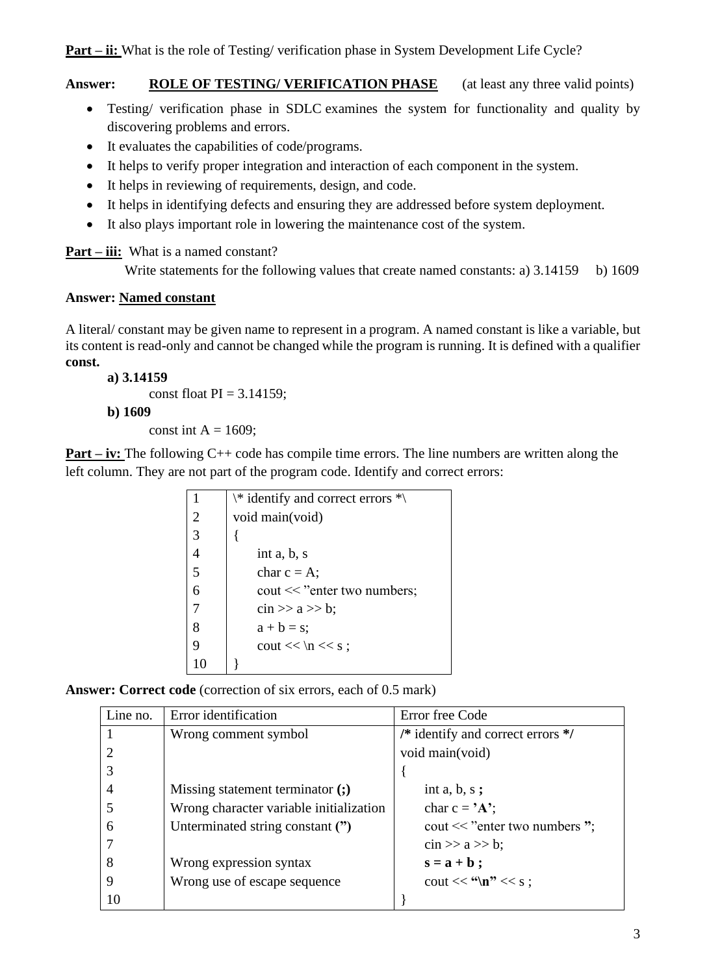**Answer: ROLE OF TESTING/ VERIFICATION PHASE** (at least any three valid points)

- Testing/ verification phase in SDLC examines the system for functionality and quality by discovering problems and errors.
- It evaluates the capabilities of code/programs.
- It helps to verify proper integration and interaction of each component in the system.
- It helps in reviewing of requirements, design, and code.
- It helps in identifying defects and ensuring they are addressed before system deployment.
- It also plays important role in lowering the maintenance cost of the system.

**Part – iii:** What is a named constant?

Write statements for the following values that create named constants: a)  $3.14159$  b)  $1609$ 

### **Answer: Named constant**

A literal/ constant may be given name to represent in a program. A named constant is like a variable, but its content is read-only and cannot be changed while the program is running. It is defined with a qualifier **const.**

### **a) 3.14159**

const float  $PI = 3.14159$ ;

### **b) 1609**

const int  $A = 1609$ ;

**Part – iv:** The following C++ code has compile time errors. The line numbers are written along the left column. They are not part of the program code. Identify and correct errors:

|                | $\aleph$ identify and correct errors $\aleph$ |
|----------------|-----------------------------------------------|
| 2              | void main(void)                               |
| $\overline{3}$ |                                               |
|                | int $a, b, s$                                 |
| 5              | char $c = A$ ;                                |
| 6              | cout << "enter two numbers;                   |
|                | $\sin \gg a \gg b$ ;                          |
| 8              | $a + b = s$ ;                                 |
| 9              | cout $<< \nvert x << s$ ;                     |
|                |                                               |

**Answer: Correct code** (correction of six errors, each of 0.5 mark)

| Line no. | Error identification                    | Error free Code                   |
|----------|-----------------------------------------|-----------------------------------|
|          | Wrong comment symbol                    | /* identify and correct errors */ |
|          |                                         | void main(void)                   |
|          |                                         |                                   |
|          | Missing statement terminator (;)        | int $a, b, s;$                    |
|          | Wrong character variable initialization | char $c = 'A$ ;                   |
| 6        | Unterminated string constant (")        | cout $<<$ "enter two numbers";    |
|          |                                         | $\sin >> a >> b$ ;                |
| 8        | Wrong expression syntax                 | $s = a + b;$                      |
|          | Wrong use of escape sequence            | cout $<<$ "\n" $<<$ s;            |
| 10       |                                         |                                   |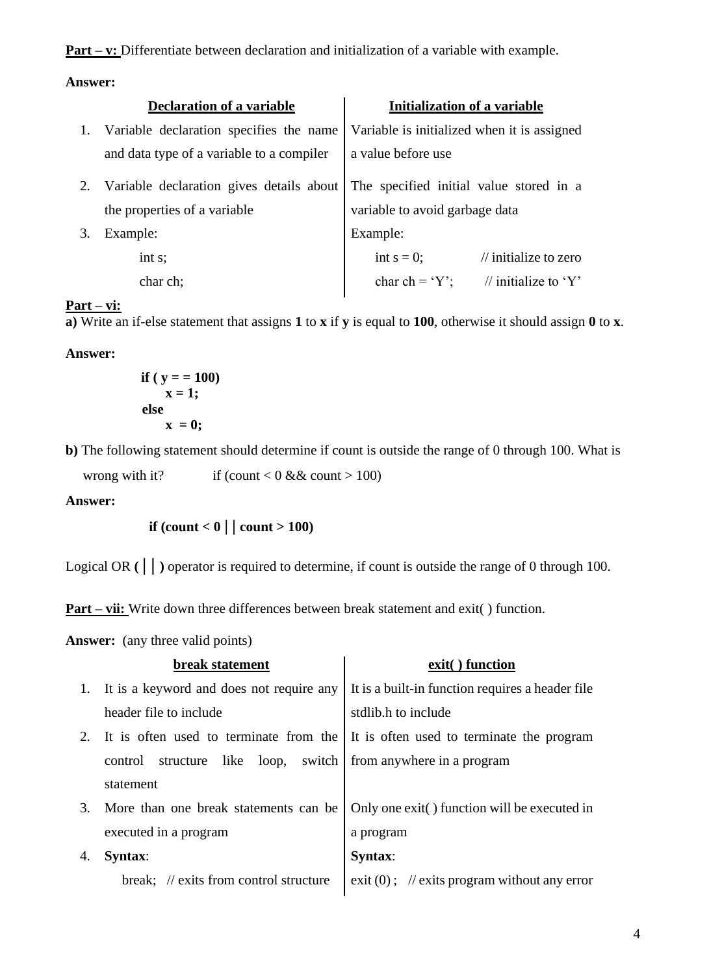**Part – v:** Differentiate between declaration and initialization of a variable with example.

### **Answer:**

|    | <b>Declaration of a variable</b>          | Initialization of a variable                       |
|----|-------------------------------------------|----------------------------------------------------|
| 1. | Variable declaration specifies the name   | Variable is initialized when it is assigned        |
|    | and data type of a variable to a compiler | a value before use                                 |
| 2. | Variable declaration gives details about  | The specified initial value stored in a            |
|    | the properties of a variable              | variable to avoid garbage data                     |
| 3. | Example:                                  | Example:                                           |
|    | int s;                                    | int $s = 0$ ;<br>$\frac{1}{2}$ initialize to zero  |
|    | char ch;                                  | char ch = $Y$ ;<br>$\mathcal{U}$ initialize to 'Y' |

### **Part – vi:**

**a)** Write an if-else statement that assigns **1** to **x** if **y** is equal to **100**, otherwise it should assign **0** to **x**.

### **Answer:**

$$
\begin{aligned}\n\text{if } (y == 100) \\
\text{x} &= 1; \\
\text{else} \\
\text{x} &= 0; \n\end{aligned}
$$

**b)** The following statement should determine if count is outside the range of 0 through 100. What is

wrong with it? if (count < 0 && count > 100)

### **Answer:**

**if** (count  $< 0 |$  | count  $> 100$ )

Logical OR  $(| \cdot |)$  operator is required to determine, if count is outside the range of 0 through 100.

**Part – vii:** Write down three differences between break statement and exit() function.

**Answer:** (any three valid points)

|    | break statement                           | exit() function                                                                  |
|----|-------------------------------------------|----------------------------------------------------------------------------------|
|    | It is a keyword and does not require any  | It is a built-in function requires a header file                                 |
|    | header file to include                    | stdlib.h to include                                                              |
|    |                                           | It is often used to terminate from the It is often used to terminate the program |
|    | switch<br>structure like loop,<br>control | from anywhere in a program                                                       |
|    | statement                                 |                                                                                  |
| 3. | More than one break statements can be     | Only one exit() function will be executed in                                     |
|    | executed in a program                     | a program                                                                        |
| 4. | <b>Syntax:</b>                            | Syntax:                                                                          |
|    | break; // exits from control structure    | exit $(0)$ ; // exits program without any error                                  |
|    |                                           |                                                                                  |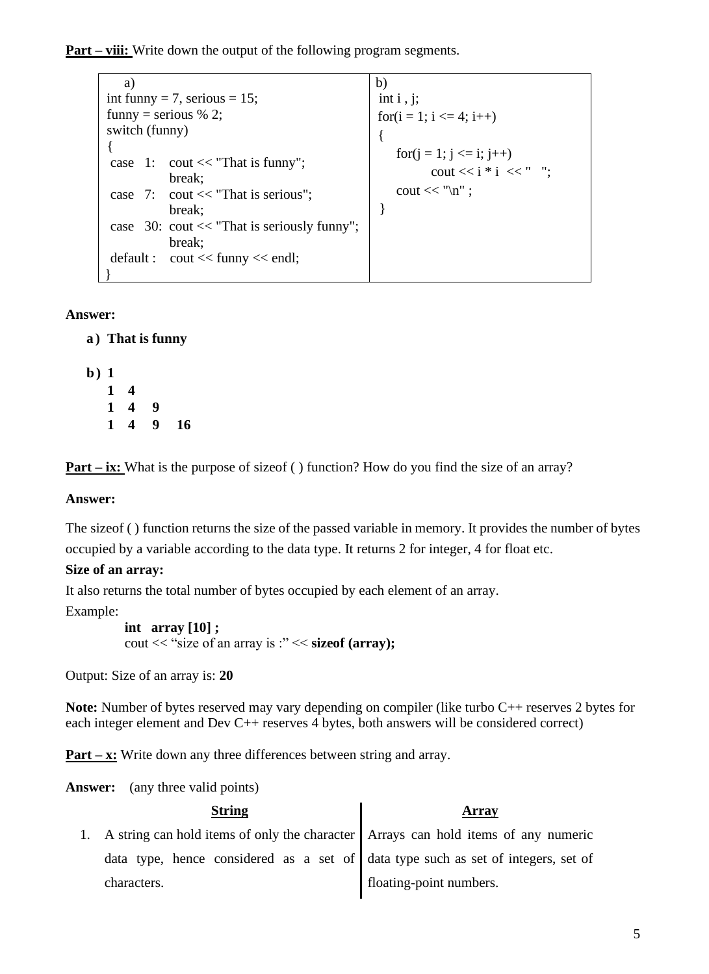**Part – viii:** Write down the output of the following program segments.

 a) int funny = 7, serious =  $15$ ; funny = serious  $% 2;$ switch (funny) { case 1: cout  $<<$  "That is funny"; break; case 7: cout << "That is serious"; break; case 30: cout << "That is seriously funny"; break; default : cout << funny << endl; } b) int  $i$ ,  $j$ ; for( $i = 1$ ;  $i \le 4$ ;  $i++$ ) { for( $i = 1$ ;  $i \le i$ ;  $i^{+1}$ ) cout  $<<$  i  $*$  i  $<<$  " "; cout  $<<$  " $\ln$ "; }

### **Answer:**

**a ) That is funny**

**b ) 1 1 4 1 4 9 1 4 9 16**

**Part – ix:** What is the purpose of size of ( ) function? How do you find the size of an array?

### **Answer:**

The sizeof ( ) function returns the size of the passed variable in memory. It provides the number of bytes occupied by a variable according to the data type. It returns 2 for integer, 4 for float etc.

### **Size of an array:**

It also returns the total number of bytes occupied by each element of an array.

Example:

```
 int array [10] ;
 cout << "size of an array is :" << sizeof (array);
```
Output: Size of an array is: **20** 

**Note:** Number of bytes reserved may vary depending on compiler (like turbo C++ reserves 2 bytes for each integer element and Dev C++ reserves 4 bytes, both answers will be considered correct)

**Part – x:** Write down any three differences between string and array.

Answer: (any three valid points)

| <b>String</b>                                                                           | Array                   |
|-----------------------------------------------------------------------------------------|-------------------------|
| 1. A string can hold items of only the character   Arrays can hold items of any numeric |                         |
| data type, hence considered as a set of data type such as set of integers, set of       |                         |
| characters.                                                                             | floating-point numbers. |
|                                                                                         |                         |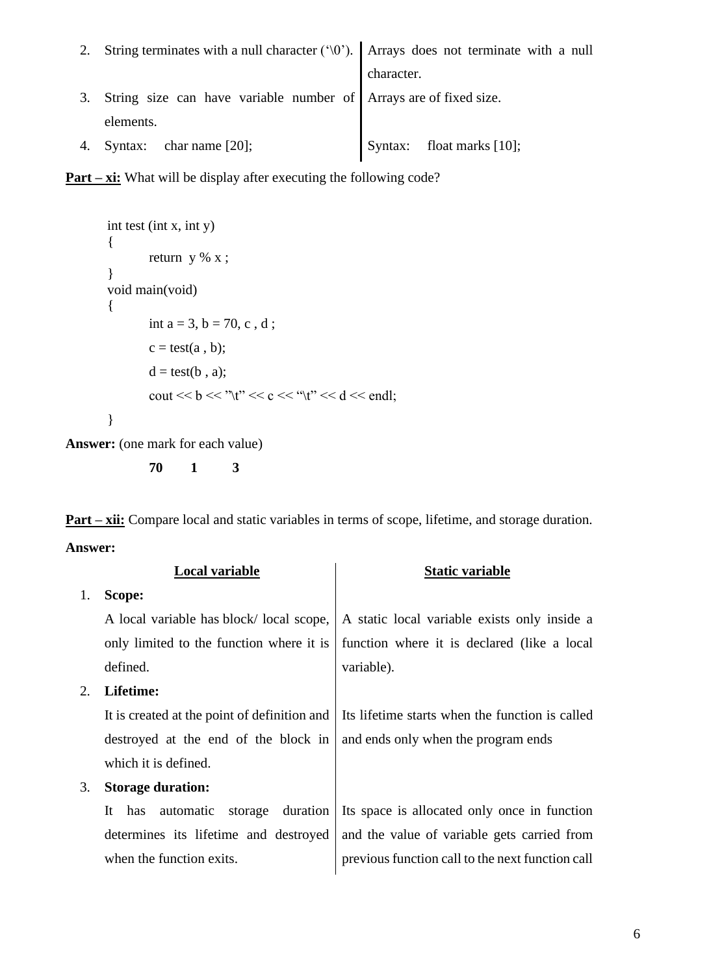| 2. String terminates with a null character ( $\degree$ ). Arrays does not terminate with a null |                           |
|-------------------------------------------------------------------------------------------------|---------------------------|
|                                                                                                 | character.                |
| 3. String size can have variable number of Arrays are of fixed size.                            |                           |
| elements.                                                                                       |                           |
| 4. Syntax: chariname $[20]$ ;                                                                   | Syntax: float marks [10]; |



```
int test (int x, int y)
{
        return y % x ;
}
void main(void)
{
       int a = 3, b = 70, c, d;
       c = test(a, b);d = test(b, a);cout << b << "\t" << c << "\t" << d << endl;
}
```

```
Answer: (one mark for each value)
```

```
70 1 3
```
**Part – xii:** Compare local and static variables in terms of scope, lifetime, and storage duration. **Answer:**

|    | Local variable                                | <b>Static variable</b>                           |
|----|-----------------------------------------------|--------------------------------------------------|
| 1. | Scope:                                        |                                                  |
|    | A local variable has block/local scope,       | A static local variable exists only inside a     |
|    | only limited to the function where it is      | function where it is declared (like a local      |
|    | defined.                                      | variable).                                       |
| 2. | Lifetime:                                     |                                                  |
|    | It is created at the point of definition and  | Its lifetime starts when the function is called  |
|    | destroyed at the end of the block in          | and ends only when the program ends              |
|    | which it is defined.                          |                                                  |
| 3. | <b>Storage duration:</b>                      |                                                  |
|    | duration<br>It<br>automatic<br>storage<br>has | Its space is allocated only once in function     |
|    | determines its lifetime and destroyed         | and the value of variable gets carried from      |
|    | when the function exits.                      | previous function call to the next function call |
|    |                                               |                                                  |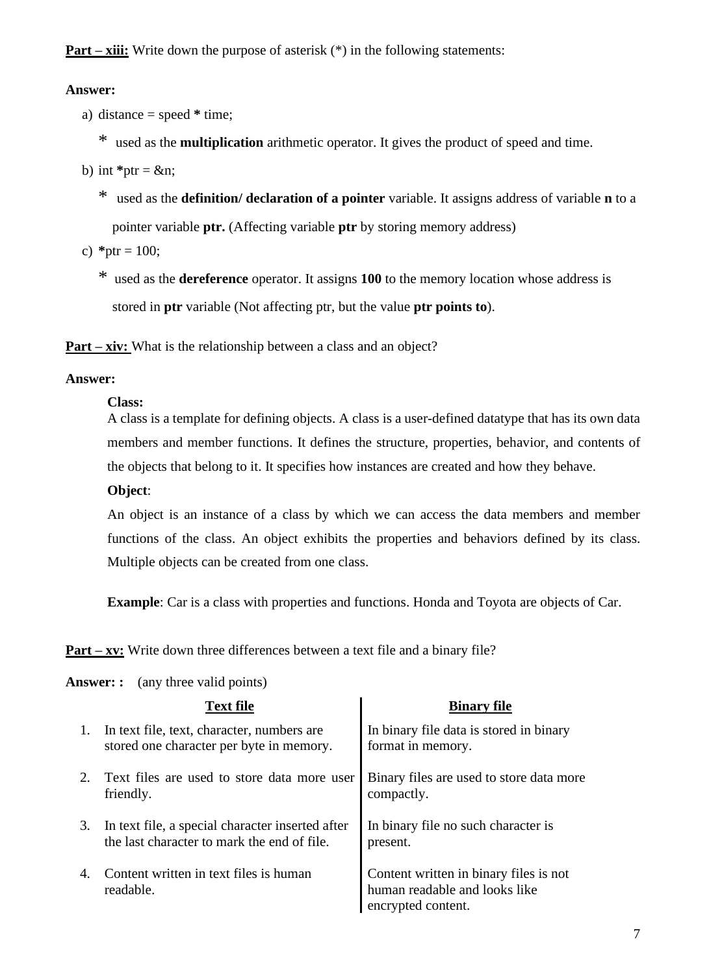**Part – xiii:** Write down the purpose of asterisk (\*) in the following statements:

### **Answer:**

- a) distance = speed **\*** time;
	- \* used as the **multiplication** arithmetic operator. It gives the product of speed and time.
- b) int  $*$ ptr = &n:
	- \* used as the **definition/ declaration of a pointer** variable. It assigns address of variable **n** to a pointer variable **ptr.** (Affecting variable **ptr** by storing memory address)
- c)  $*$ ptr = 100;
	- \* used as the **dereference** operator. It assigns **100** to the memory location whose address is stored in **ptr** variable (Not affecting ptr, but the value **ptr points to**).

**Part – xiv:** What is the relationship between a class and an object?

### **Answer:**

### **Class:**

A class is a template for defining objects. A class is a user-defined datatype that has its own data members and member functions. It defines the structure, properties, behavior, and contents of the objects that belong to it. It specifies how instances are created and how they behave.

### **Object**:

An object is an instance of a class by which we can access the data members and member functions of the class. An object exhibits the properties and behaviors defined by its class. Multiple objects can be created from one class.

**Example**: Car is a class with properties and functions. Honda and Toyota are objects of Car.

**Part – xv:** Write down three differences between a text file and a binary file?

|    | <b>Text file</b>                                                                                | <b>Binary file</b>                                                                            |
|----|-------------------------------------------------------------------------------------------------|-----------------------------------------------------------------------------------------------|
|    | In text file, text, character, numbers are<br>stored one character per byte in memory.          | In binary file data is stored in binary<br>format in memory.                                  |
|    | Text files are used to store data more user<br>friendly.                                        | Binary files are used to store data more<br>compactly.                                        |
| 3. | In text file, a special character inserted after<br>the last character to mark the end of file. | In binary file no such character is<br>present.                                               |
| 4. | Content written in text files is human<br>readable.                                             | Content written in binary files is not<br>human readable and looks like<br>encrypted content. |

**Answer: :** (any three valid points)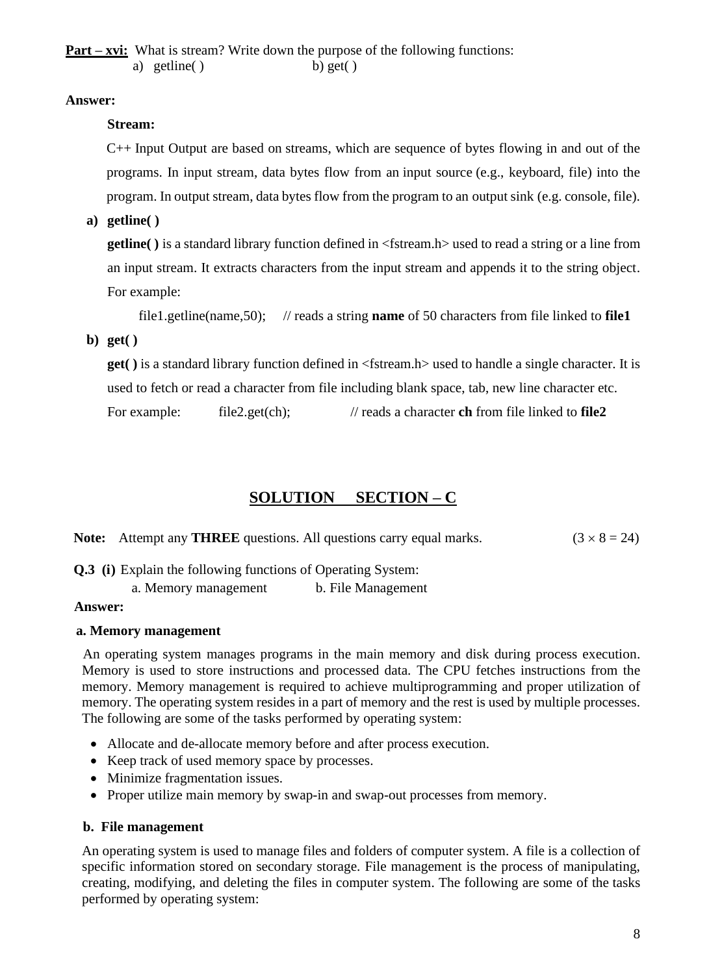## **Answer:**

## **Stream:**

C++ Input Output are based on streams, which are sequence of bytes flowing in and out of the programs. In input stream, data bytes flow from an input source (e.g., keyboard, file) into the program. In output stream, data bytes flow from the program to an output sink (e.g. console, file).

**a) getline( )**

**getline( )** is a standard library function defined in <fstream.h> used to read a string or a line from an input stream. It extracts characters from the input stream and appends it to the string object. For example:

```
 file1.getline(name,50); // reads a string name of 50 characters from file linked to file1
```
**b) get( )**

**get( )** is a standard library function defined in <fstream.h> used to handle a single character. It is used to fetch or read a character from file including blank space, tab, new line character etc.

For example: file2.get(ch); // reads a character **ch** from file linked to **file2** 

## **SOLUTION SECTION – C**

**Note:** Attempt any **THREE** questions. All questions carry equal marks.  $(3 \times 8 = 24)$ 

**Q.3 (i)** Explain the following functions of Operating System:

a. Memory management b. File Management

### **Answer:**

### **a. Memory management**

An operating system manages programs in the main memory and disk during process execution. Memory is used to store instructions and processed data. The CPU fetches instructions from the memory. Memory management is required to achieve multiprogramming and proper utilization of memory. The operating system resides in a part of memory and the rest is used by multiple processes. The following are some of the tasks performed by operating system:

- Allocate and de-allocate memory before and after process execution.
- Keep track of used memory space by processes.
- Minimize fragmentation issues.
- Proper utilize main memory by swap-in and swap-out processes from memory.

### **b. File management**

An operating system is used to manage files and folders of computer system. A file is a collection of specific information stored on secondary storage. File management is the process of manipulating, creating, modifying, and deleting the files in computer system. The following are some of the tasks performed by operating system: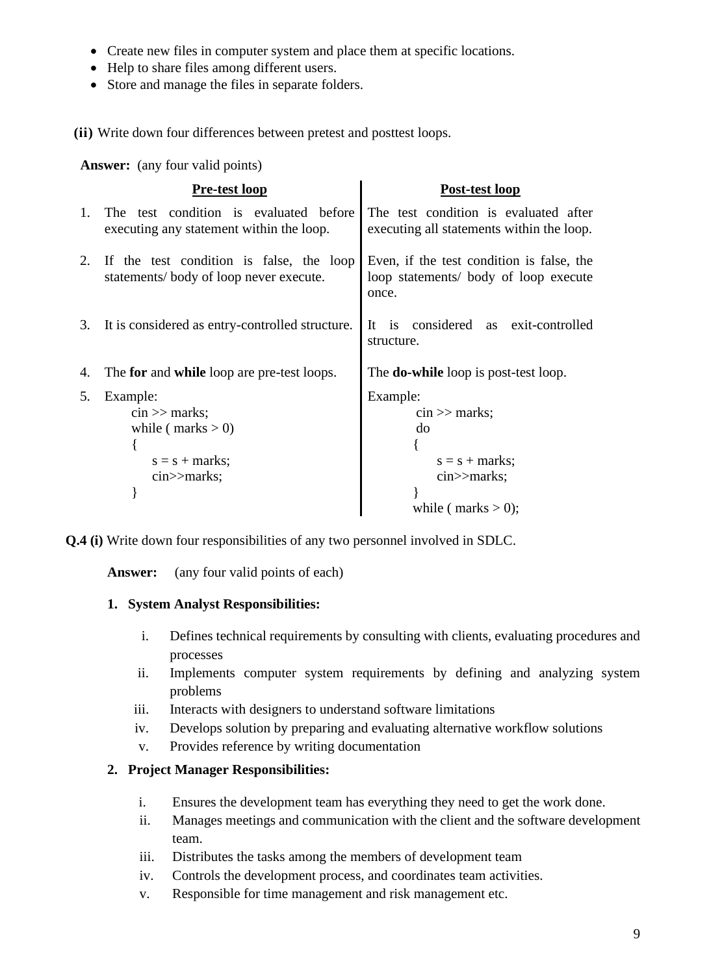- Create new files in computer system and place them at specific locations.
- Help to share files among different users.
- Store and manage the files in separate folders.

**(ii)** Write down four differences between pretest and posttest loops.

**Answer:** (any four valid points)

|                | Pre-test loop                                                                      | Post-test loop                                                                              |
|----------------|------------------------------------------------------------------------------------|---------------------------------------------------------------------------------------------|
| $\mathbf{1}$ . | The test condition is evaluated before<br>executing any statement within the loop. | The test condition is evaluated after<br>executing all statements within the loop.          |
| 2.             | If the test condition is false, the loop<br>statements/body of loop never execute. | Even, if the test condition is false, the<br>loop statements/ body of loop execute<br>once. |
| 3.             | It is considered as entry-controlled structure.                                    | is considered as exit-controlled<br>It<br>structure.                                        |
| 4.             | The for and while loop are pre-test loops.                                         | The <b>do-while</b> loop is post-test loop.                                                 |
| 5.             | Example:                                                                           | Example:                                                                                    |
|                | $\sin \gg$ marks;                                                                  | $\sin \gg$ marks;                                                                           |
|                | while ( $marks > 0$ )                                                              | do                                                                                          |
|                |                                                                                    |                                                                                             |
|                | $s = s + marks;$                                                                   | $s = s + marks;$                                                                            |
|                | $cin$ > marks;                                                                     | $\text{cin} \geq \text{marks};$                                                             |
|                |                                                                                    |                                                                                             |
|                |                                                                                    | while ( $marks > 0$ );                                                                      |

**Q.4 (i)** Write down four responsibilities of any two personnel involved in SDLC.

Answer: (any four valid points of each)

### **1. System Analyst Responsibilities:**

- i. Defines technical requirements by consulting with clients, evaluating procedures and processes
- ii. Implements computer system requirements by defining and analyzing system problems
- iii. Interacts with designers to understand software limitations
- iv. Develops solution by preparing and evaluating alternative workflow solutions
- v. Provides reference by writing documentation

## **2. Project Manager Responsibilities:**

- i. Ensures the development team has everything they need to get the work done.
- ii. Manages meetings and communication with the client and the software development team.
- iii. Distributes the tasks among the members of development team
- iv. Controls the development process, and coordinates team activities.
- v. Responsible for time management and risk management etc.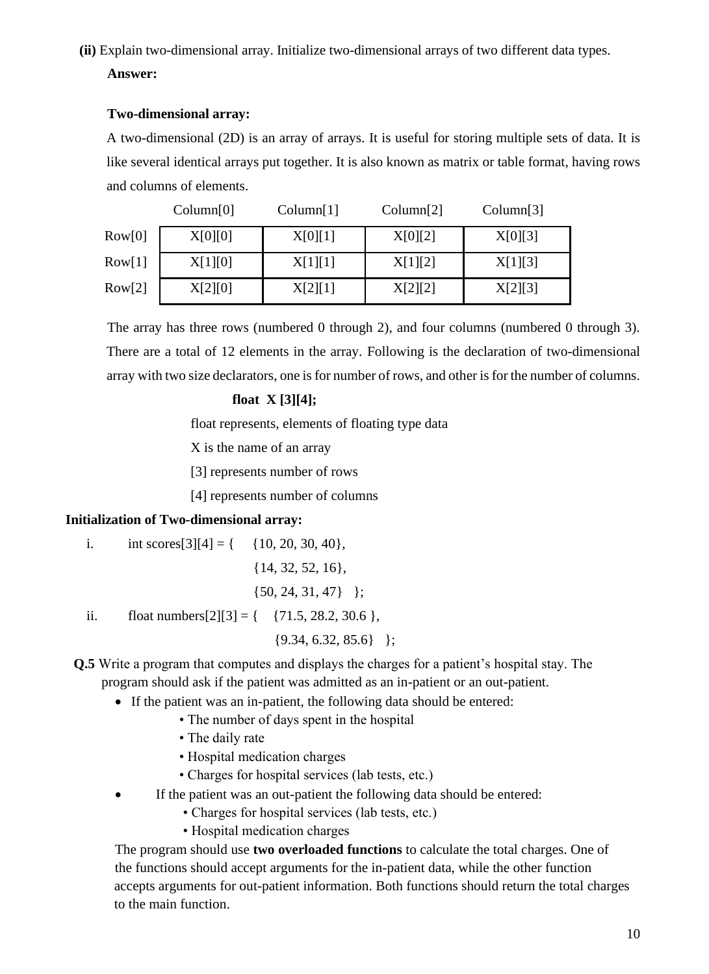# **(ii)** Explain two-dimensional array. Initialize two-dimensional arrays of two different data types. **Answer:**

## **Two-dimensional array:**

A two-dimensional (2D) is an array of arrays. It is useful for storing multiple sets of data. It is like several identical arrays put together. It is also known as matrix or table format, having rows and columns of elements.

|        | Column[0] | Column[1] | Column[2] | Column[3] |
|--------|-----------|-----------|-----------|-----------|
| Row[0] | X[0][0]   | X[0][1]   | X[0][2]   | X[0][3]   |
| Row[1] | X[1][0]   | X[1][1]   | X[1][2]   | X[1][3]   |
| Row[2] | X[2][0]   | X[2][1]   | X[2][2]   | X[2][3]   |

The array has three rows (numbered 0 through 2), and four columns (numbered 0 through 3). There are a total of 12 elements in the array. Following is the declaration of two-dimensional array with two size declarators, one is for number of rows, and other is for the number of columns.

## **float X [3][4];**

float represents, elements of floating type data

X is the name of an array

[3] represents number of rows

[4] represents number of columns

## **Initialization of Two-dimensional array:**

i. int scores[3][4] = {  $\{10, 20, 30, 40\}$ ,

{14, 32, 52, 16},

$$
\{50, 24, 31, 47\} \quad \};
$$

ii. float numbers[2][3] = {  ${71.5, 28.2, 30.6}$ ,

 $\{9.34, 6.32, 85.6\}$  };

## **Q.5** Write a program that computes and displays the charges for a patient's hospital stay. The program should ask if the patient was admitted as an in-patient or an out-patient.

- If the patient was an in-patient, the following data should be entered:
	- The number of days spent in the hospital
	- The daily rate
	- Hospital medication charges
	- Charges for hospital services (lab tests, etc.)
- If the patient was an out-patient the following data should be entered:
	- Charges for hospital services (lab tests, etc.)
	- Hospital medication charges

The program should use **two overloaded functions** to calculate the total charges. One of the functions should accept arguments for the in-patient data, while the other function accepts arguments for out-patient information. Both functions should return the total charges to the main function.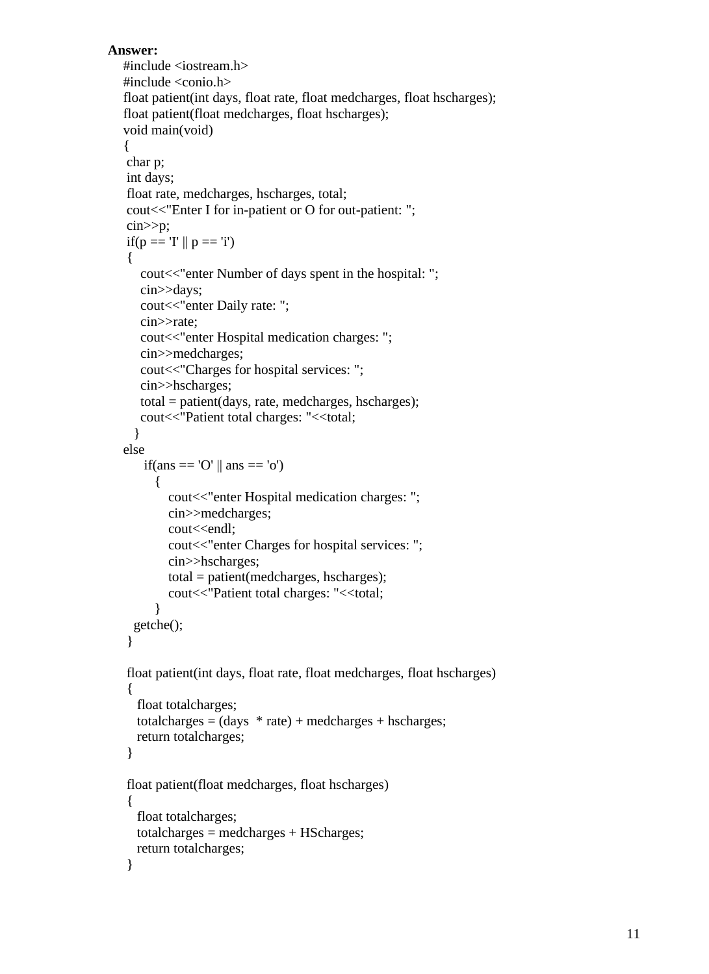### **Answer:**

```
\#include \ltiostream.h>#include <conio.h>
float patient(int days, float rate, float medcharges, float hscharges);
float patient(float medcharges, float hscharges);
void main(void)
{
char p;
int days;
float rate, medcharges, hscharges, total;
cout<<"Enter I for in-patient or O for out-patient: ";
cin>>p;
if(p == 'I' || p == 'i')
{
   cout<<"enter Number of days spent in the hospital: ";
    cin>>days;
   cout << "enter Daily rate: ";
    cin>>rate;
    cout<<"enter Hospital medication charges: ";
    cin>>medcharges;
    cout<<"Charges for hospital services: ";
    cin>>hscharges;
    total = patient(days, rate, medcharges, hscharges);
   cout<<"Patient total charges: "<<total;
   }
else
   if(ans == 'O' \parallel ans == 'o')
     \left\{ \right.cout << "enter Hospital medication charges: ";
         cin>>medcharges;
        cout<<endl;
         cout<<"enter Charges for hospital services: ";
         cin>>hscharges;
         total = patient(medcharges, hscharges);
        cout<<"Patient total charges: "<<total;
       }
  getche();
}
float patient(int days, float rate, float medcharges, float hscharges)
{
   float totalcharges;
  totalcharges = (days * rate) + medcharges + hschargest; return totalcharges; 
}
float patient(float medcharges, float hscharges)
{
   float totalcharges;
  total charges = medcharges + HScharges; return totalcharges; 
}
```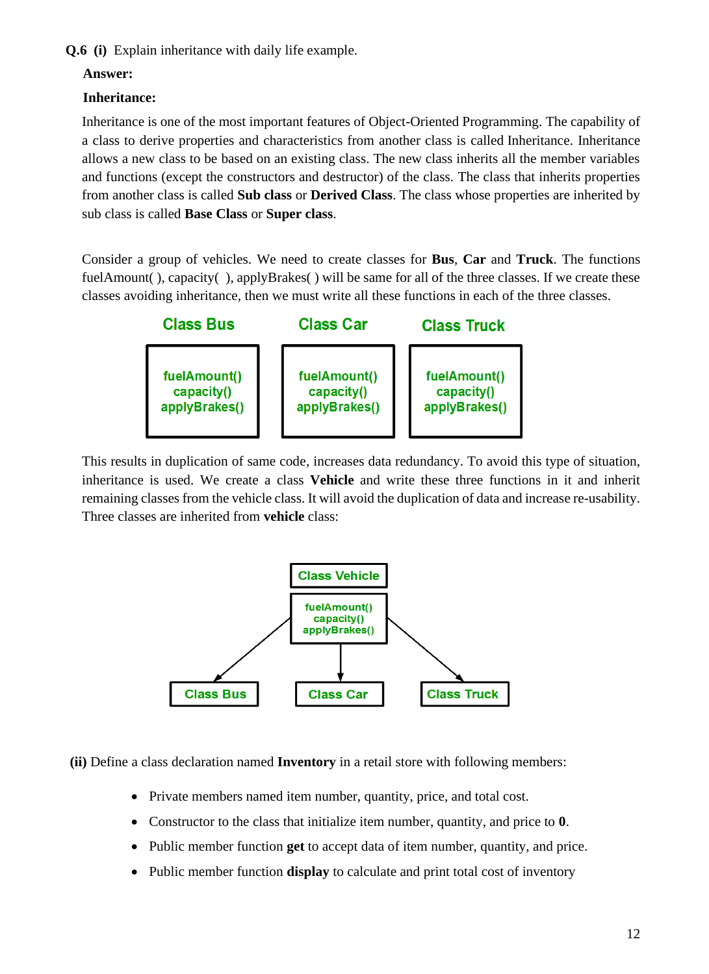**Q.6 (i)** Explain inheritance with daily life example.

## **Answer:**

## **Inheritance:**

Inheritance is one of the most important features of Object-Oriented Programming. The capability of a class to derive properties and characteristics from another class is called Inheritance. Inheritance allows a new class to be based on an existing class. The new class inherits all the member variables and functions (except the constructors and destructor) of the class. The class that inherits properties from another class is called **Sub class** or **Derived Class**. The class whose properties are inherited by sub class is called **Base Class** or **Super class**.

Consider a group of vehicles. We need to create classes for **Bus**, **Car** and **Truck**. The functions fuelAmount(), capacity(), applyBrakes() will be same for all of the three classes. If we create these classes avoiding inheritance, then we must write all these functions in each of the three classes.



This results in duplication of same code, increases data redundancy. To avoid this type of situation, inheritance is used. We create a class **Vehicle** and write these three functions in it and inherit remaining classes from the vehicle class. It will avoid the duplication of data and increase re-usability. Three classes are inherited from **vehicle** class:



**(ii)** Define a class declaration named **Inventory** in a retail store with following members:

- Private members named item number, quantity, price, and total cost.
- Constructor to the class that initialize item number, quantity, and price to **0**.
- Public member function **get** to accept data of item number, quantity, and price.
- Public member function **display** to calculate and print total cost of inventory